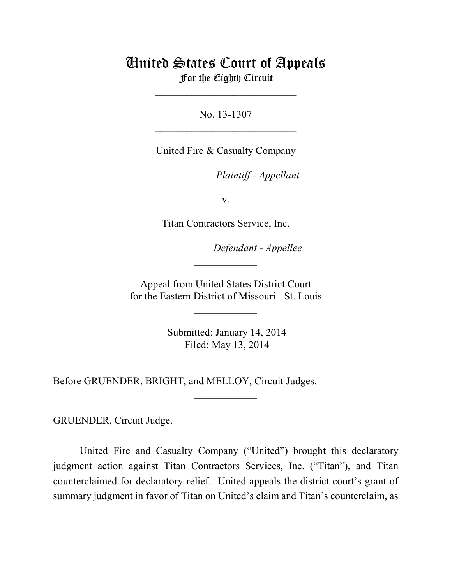# United States Court of Appeals For the Eighth Circuit

\_\_\_\_\_\_\_\_\_\_\_\_\_\_\_\_\_\_\_\_\_\_\_\_\_\_\_

No. 13-1307  $\mathcal{L}_\text{max}$  , which is a set of the set of the set of the set of the set of the set of the set of the set of the set of the set of the set of the set of the set of the set of the set of the set of the set of the set of

United Fire & Casualty Company

lllllllllllllllllllll *Plaintiff - Appellant*

v.

Titan Contractors Service, Inc.

Defendant - Appellee

 Appeal from United States District Court for the Eastern District of Missouri - St. Louis

 $\overline{\phantom{a}}$  , where  $\overline{\phantom{a}}$ 

 $\frac{1}{2}$ 

 Submitted: January 14, 2014 Filed: May 13, 2014

 $\frac{1}{2}$ 

 $\overline{\phantom{a}}$  , where  $\overline{\phantom{a}}$ 

Before GRUENDER, BRIGHT, and MELLOY, Circuit Judges.

GRUENDER, Circuit Judge.

United Fire and Casualty Company ("United") brought this declaratory judgment action against Titan Contractors Services, Inc. ("Titan"), and Titan counterclaimed for declaratory relief. United appeals the district court's grant of summary judgment in favor of Titan on United's claim and Titan's counterclaim, as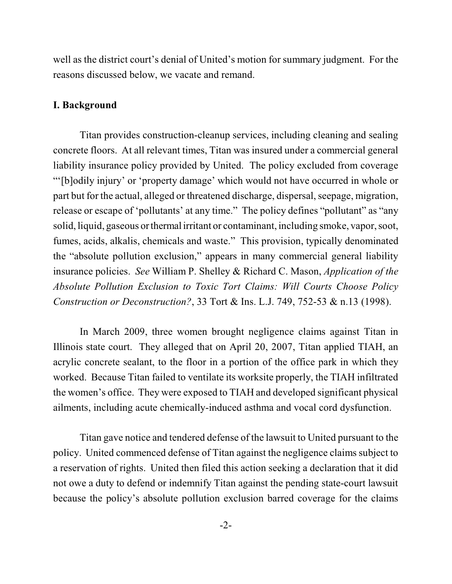well as the district court's denial of United's motion for summary judgment. For the reasons discussed below, we vacate and remand.

## **I. Background**

Titan provides construction-cleanup services, including cleaning and sealing concrete floors. At all relevant times, Titan was insured under a commercial general liability insurance policy provided by United. The policy excluded from coverage "'[b]odily injury' or 'property damage' which would not have occurred in whole or part but for the actual, alleged or threatened discharge, dispersal, seepage, migration, release or escape of 'pollutants' at any time." The policy defines "pollutant" as "any solid, liquid, gaseous or thermal irritant or contaminant, including smoke, vapor, soot, fumes, acids, alkalis, chemicals and waste." This provision, typically denominated the "absolute pollution exclusion," appears in many commercial general liability insurance policies. *See* William P. Shelley & Richard C. Mason, *Application of the Absolute Pollution Exclusion to Toxic Tort Claims: Will Courts Choose Policy Construction or Deconstruction?*, 33 Tort & Ins. L.J. 749, 752-53 & n.13 (1998).

In March 2009, three women brought negligence claims against Titan in Illinois state court. They alleged that on April 20, 2007, Titan applied TIAH, an acrylic concrete sealant, to the floor in a portion of the office park in which they worked. Because Titan failed to ventilate its worksite properly, the TIAH infiltrated the women's office. They were exposed to TIAH and developed significant physical ailments, including acute chemically-induced asthma and vocal cord dysfunction.

Titan gave notice and tendered defense of the lawsuit to United pursuant to the policy. United commenced defense of Titan against the negligence claims subject to a reservation of rights. United then filed this action seeking a declaration that it did not owe a duty to defend or indemnify Titan against the pending state-court lawsuit because the policy's absolute pollution exclusion barred coverage for the claims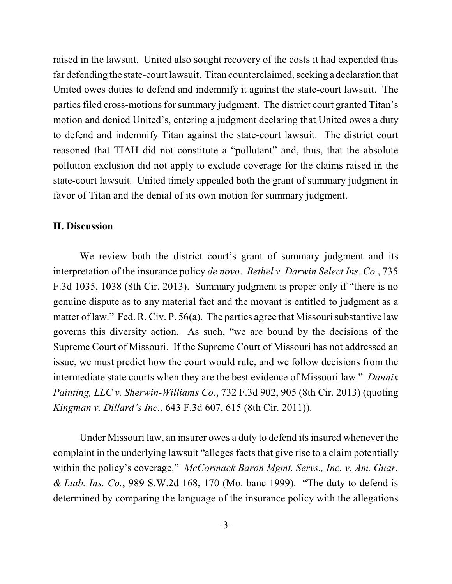raised in the lawsuit. United also sought recovery of the costs it had expended thus far defending the state-court lawsuit. Titan counterclaimed, seeking a declaration that United owes duties to defend and indemnify it against the state-court lawsuit. The parties filed cross-motions for summary judgment. The district court granted Titan's motion and denied United's, entering a judgment declaring that United owes a duty to defend and indemnify Titan against the state-court lawsuit. The district court reasoned that TIAH did not constitute a "pollutant" and, thus, that the absolute pollution exclusion did not apply to exclude coverage for the claims raised in the state-court lawsuit. United timely appealed both the grant of summary judgment in favor of Titan and the denial of its own motion for summary judgment.

## **II. Discussion**

We review both the district court's grant of summary judgment and its interpretation of the insurance policy *de novo*. *Bethel v. Darwin Select Ins. Co.*, 735 F.3d 1035, 1038 (8th Cir. 2013). Summary judgment is proper only if "there is no genuine dispute as to any material fact and the movant is entitled to judgment as a matter of law." Fed. R. Civ. P. 56(a). The parties agree that Missouri substantive law governs this diversity action. As such, "we are bound by the decisions of the Supreme Court of Missouri. If the Supreme Court of Missouri has not addressed an issue, we must predict how the court would rule, and we follow decisions from the intermediate state courts when they are the best evidence of Missouri law." *Dannix Painting, LLC v. Sherwin-Williams Co.*, 732 F.3d 902, 905 (8th Cir. 2013) (quoting *Kingman v. Dillard's Inc.*, 643 F.3d 607, 615 (8th Cir. 2011)).

Under Missouri law, an insurer owes a duty to defend its insured whenever the complaint in the underlying lawsuit "alleges facts that give rise to a claim potentially within the policy's coverage." *McCormack Baron Mgmt. Servs., Inc. v. Am. Guar. & Liab. Ins. Co.*, 989 S.W.2d 168, 170 (Mo. banc 1999). "The duty to defend is determined by comparing the language of the insurance policy with the allegations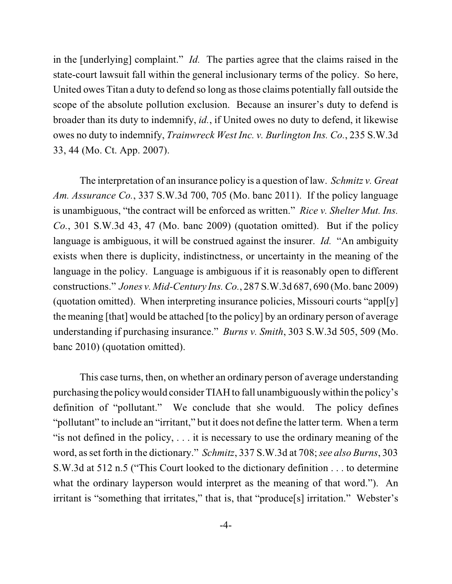in the [underlying] complaint." *Id.* The parties agree that the claims raised in the state-court lawsuit fall within the general inclusionary terms of the policy. So here, United owes Titan a duty to defend so long asthose claims potentially fall outside the scope of the absolute pollution exclusion. Because an insurer's duty to defend is broader than its duty to indemnify, *id.*, if United owes no duty to defend, it likewise owes no duty to indemnify, *Trainwreck West Inc. v. Burlington Ins. Co.*, 235 S.W.3d 33, 44 (Mo. Ct. App. 2007).

The interpretation of an insurance policy is a question of law. *Schmitz v. Great Am. Assurance Co.*, 337 S.W.3d 700, 705 (Mo. banc 2011). If the policy language is unambiguous, "the contract will be enforced as written." *Rice v. Shelter Mut. Ins. Co.*, 301 S.W.3d 43, 47 (Mo. banc 2009) (quotation omitted). But if the policy language is ambiguous, it will be construed against the insurer. *Id.* "An ambiguity exists when there is duplicity, indistinctness, or uncertainty in the meaning of the language in the policy. Language is ambiguous if it is reasonably open to different constructions." *Jones v. Mid-Century Ins. Co.*, 287 S.W.3d 687, 690 (Mo. banc 2009) (quotation omitted). When interpreting insurance policies, Missouri courts "appl[y] the meaning [that] would be attached [to the policy] by an ordinary person of average understanding if purchasing insurance." *Burns v. Smith*, 303 S.W.3d 505, 509 (Mo. banc 2010) (quotation omitted).

This case turns, then, on whether an ordinary person of average understanding purchasing the policywould consider TIAH to fall unambiguouslywithin the policy's definition of "pollutant." We conclude that she would. The policy defines "pollutant" to include an "irritant," but it does not define the latter term. When a term "is not defined in the policy, . . . it is necessary to use the ordinary meaning of the word, asset forth in the dictionary." *Schmitz*, 337 S.W.3d at 708;*see also Burns*, 303 S.W.3d at 512 n.5 ("This Court looked to the dictionary definition . . . to determine what the ordinary layperson would interpret as the meaning of that word."). An irritant is "something that irritates," that is, that "produce[s] irritation." Webster's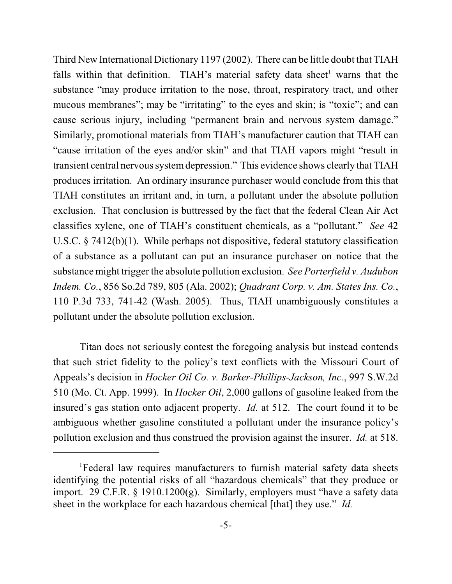Third New International Dictionary 1197 (2002). There can be little doubt that TIAH falls within that definition. TIAH's material safety data sheet<sup>1</sup> warns that the substance "may produce irritation to the nose, throat, respiratory tract, and other mucous membranes"; may be "irritating" to the eyes and skin; is "toxic"; and can cause serious injury, including "permanent brain and nervous system damage." Similarly, promotional materials from TIAH's manufacturer caution that TIAH can "cause irritation of the eyes and/or skin" and that TIAH vapors might "result in transient central nervous systemdepression." This evidence shows clearly that TIAH produces irritation. An ordinary insurance purchaser would conclude from this that TIAH constitutes an irritant and, in turn, a pollutant under the absolute pollution exclusion. That conclusion is buttressed by the fact that the federal Clean Air Act classifies xylene, one of TIAH's constituent chemicals, as a "pollutant." *See* 42 U.S.C. § 7412(b)(1). While perhaps not dispositive, federal statutory classification of a substance as a pollutant can put an insurance purchaser on notice that the substance might trigger the absolute pollution exclusion. *See Porterfield v. Audubon Indem. Co.*, 856 So.2d 789, 805 (Ala. 2002); *Quadrant Corp. v. Am. States Ins. Co.*, 110 P.3d 733, 741-42 (Wash. 2005). Thus, TIAH unambiguously constitutes a pollutant under the absolute pollution exclusion.

Titan does not seriously contest the foregoing analysis but instead contends that such strict fidelity to the policy's text conflicts with the Missouri Court of Appeals's decision in *Hocker Oil Co. v. Barker-Phillips-Jackson, Inc.*, 997 S.W.2d 510 (Mo. Ct. App. 1999). In *Hocker Oil*, 2,000 gallons of gasoline leaked from the insured's gas station onto adjacent property. *Id.* at 512. The court found it to be ambiguous whether gasoline constituted a pollutant under the insurance policy's pollution exclusion and thus construed the provision against the insurer. *Id.* at 518.

<sup>&</sup>lt;sup>1</sup>Federal law requires manufacturers to furnish material safety data sheets identifying the potential risks of all "hazardous chemicals" that they produce or import. 29 C.F.R. § 1910.1200(g). Similarly, employers must "have a safety data sheet in the workplace for each hazardous chemical [that] they use." *Id.*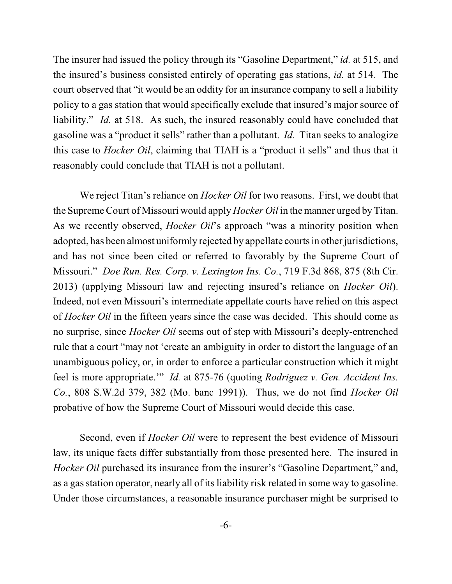The insurer had issued the policy through its "Gasoline Department," *id.* at 515, and the insured's business consisted entirely of operating gas stations, *id.* at 514. The court observed that "it would be an oddity for an insurance company to sell a liability policy to a gas station that would specifically exclude that insured's major source of liability." *Id.* at 518. As such, the insured reasonably could have concluded that gasoline was a "product it sells" rather than a pollutant. *Id.* Titan seeks to analogize this case to *Hocker Oil*, claiming that TIAH is a "product it sells" and thus that it reasonably could conclude that TIAH is not a pollutant.

We reject Titan's reliance on *Hocker Oil* for two reasons. First, we doubt that the Supreme Court of Missouri would apply *Hocker Oil* in the manner urged by Titan. As we recently observed, *Hocker Oil*'s approach "was a minority position when adopted, has been almost uniformly rejected by appellate courts in other jurisdictions, and has not since been cited or referred to favorably by the Supreme Court of Missouri." *Doe Run. Res. Corp. v. Lexington Ins. Co.*, 719 F.3d 868, 875 (8th Cir. 2013) (applying Missouri law and rejecting insured's reliance on *Hocker Oil*). Indeed, not even Missouri's intermediate appellate courts have relied on this aspect of *Hocker Oil* in the fifteen years since the case was decided. This should come as no surprise, since *Hocker Oil* seems out of step with Missouri's deeply-entrenched rule that a court "may not 'create an ambiguity in order to distort the language of an unambiguous policy, or, in order to enforce a particular construction which it might feel is more appropriate.'" *Id.* at 875-76 (quoting *Rodriguez v. Gen. Accident Ins. Co.*, 808 S.W.2d 379, 382 (Mo. banc 1991)). Thus, we do not find *Hocker Oil* probative of how the Supreme Court of Missouri would decide this case.

Second, even if *Hocker Oil* were to represent the best evidence of Missouri law, its unique facts differ substantially from those presented here. The insured in *Hocker Oil* purchased its insurance from the insurer's "Gasoline Department," and, as a gas station operator, nearly all of its liability risk related in some way to gasoline. Under those circumstances, a reasonable insurance purchaser might be surprised to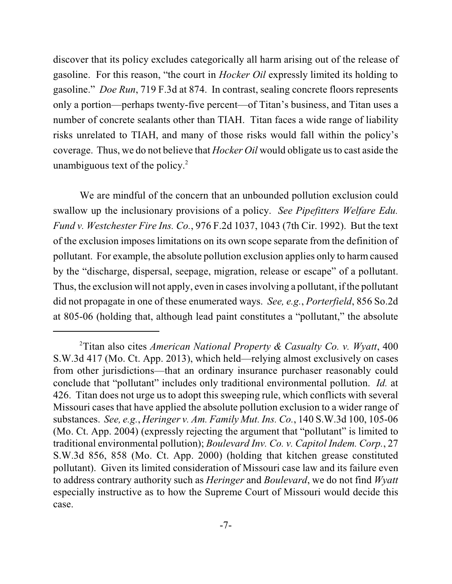discover that its policy excludes categorically all harm arising out of the release of gasoline. For this reason, "the court in *Hocker Oil* expressly limited its holding to gasoline." *Doe Run*, 719 F.3d at 874. In contrast, sealing concrete floors represents only a portion—perhaps twenty-five percent—of Titan's business, and Titan uses a number of concrete sealants other than TIAH. Titan faces a wide range of liability risks unrelated to TIAH, and many of those risks would fall within the policy's coverage. Thus, we do not believe that *Hocker Oil* would obligate usto cast aside the unambiguous text of the policy.<sup>2</sup>

We are mindful of the concern that an unbounded pollution exclusion could swallow up the inclusionary provisions of a policy. *See Pipefitters Welfare Edu. Fund v. Westchester Fire Ins. Co.*, 976 F.2d 1037, 1043 (7th Cir. 1992). But the text of the exclusion imposes limitations on its own scope separate from the definition of pollutant. For example, the absolute pollution exclusion applies only to harm caused by the "discharge, dispersal, seepage, migration, release or escape" of a pollutant. Thus, the exclusion will not apply, even in casesinvolving a pollutant, if the pollutant did not propagate in one of these enumerated ways. *See, e.g.*, *Porterfield*, 856 So.2d at 805-06 (holding that, although lead paint constitutes a "pollutant," the absolute

Titan also cites *American National Property & Casualty Co. v. Wyatt*, 400 2 S.W.3d 417 (Mo. Ct. App. 2013), which held—relying almost exclusively on cases from other jurisdictions—that an ordinary insurance purchaser reasonably could conclude that "pollutant" includes only traditional environmental pollution. *Id.* at 426. Titan does not urge us to adopt this sweeping rule, which conflicts with several Missouri cases that have applied the absolute pollution exclusion to a wider range of substances. *See, e.g.*, *Heringer v. Am. Family Mut. Ins. Co.*, 140 S.W.3d 100, 105-06 (Mo. Ct. App. 2004) (expressly rejecting the argument that "pollutant" is limited to traditional environmental pollution); *Boulevard Inv. Co. v. Capitol Indem. Corp.*, 27 S.W.3d 856, 858 (Mo. Ct. App. 2000) (holding that kitchen grease constituted pollutant). Given its limited consideration of Missouri case law and its failure even to address contrary authority such as *Heringer* and *Boulevard*, we do not find *Wyatt* especially instructive as to how the Supreme Court of Missouri would decide this case.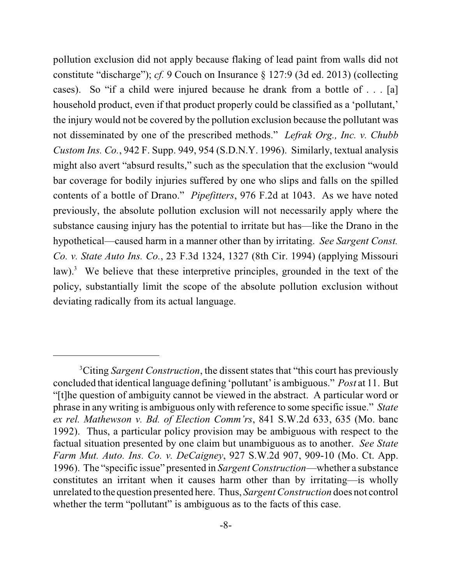pollution exclusion did not apply because flaking of lead paint from walls did not constitute "discharge"); *cf.* 9 Couch on Insurance § 127:9 (3d ed. 2013) (collecting cases). So "if a child were injured because he drank from a bottle of . . . [a] household product, even if that product properly could be classified as a 'pollutant,' the injury would not be covered by the pollution exclusion because the pollutant was not disseminated by one of the prescribed methods." *Lefrak Org., Inc. v. Chubb Custom Ins. Co.*, 942 F. Supp. 949, 954 (S.D.N.Y. 1996). Similarly, textual analysis might also avert "absurd results," such as the speculation that the exclusion "would bar coverage for bodily injuries suffered by one who slips and falls on the spilled contents of a bottle of Drano." *Pipefitters*, 976 F.2d at 1043. As we have noted previously, the absolute pollution exclusion will not necessarily apply where the substance causing injury has the potential to irritate but has—like the Drano in the hypothetical—caused harm in a manner other than by irritating. *See Sargent Const. Co. v. State Auto Ins. Co.*, 23 F.3d 1324, 1327 (8th Cir. 1994) (applying Missouri law). $3$  We believe that these interpretive principles, grounded in the text of the policy, substantially limit the scope of the absolute pollution exclusion without deviating radically from its actual language.

Citing *Sargent Construction*, the dissent states that "this court has previously <sup>3</sup> concluded that identical language defining 'pollutant' is ambiguous." *Post* at 11. But "[t]he question of ambiguity cannot be viewed in the abstract. A particular word or phrase in any writing is ambiguous only with reference to some specific issue." *State ex rel. Mathewson v. Bd. of Election Comm'rs*, 841 S.W.2d 633, 635 (Mo. banc 1992). Thus, a particular policy provision may be ambiguous with respect to the factual situation presented by one claim but unambiguous as to another. *See State Farm Mut. Auto. Ins. Co. v. DeCaigney*, 927 S.W.2d 907, 909-10 (Mo. Ct. App. 1996). The "specific issue" presented in *Sargent Construction*—whether a substance constitutes an irritant when it causes harm other than by irritating—is wholly unrelated to the question presented here. Thus, *Sargent Construction* does not control whether the term "pollutant" is ambiguous as to the facts of this case.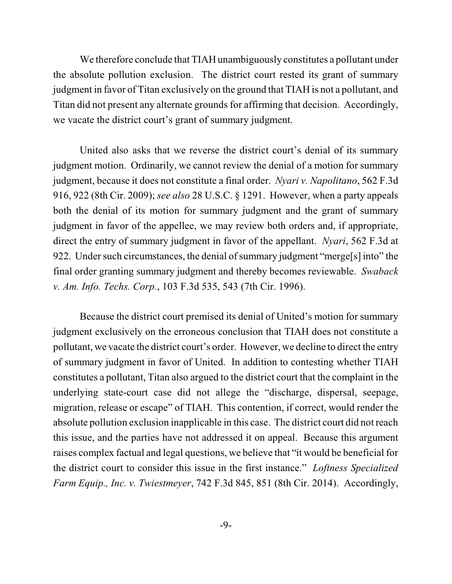We therefore conclude that TIAH unambiguously constitutes a pollutant under the absolute pollution exclusion. The district court rested its grant of summary judgment in favor of Titan exclusively on the ground that TIAH is not a pollutant, and Titan did not present any alternate grounds for affirming that decision. Accordingly, we vacate the district court's grant of summary judgment.

United also asks that we reverse the district court's denial of its summary judgment motion. Ordinarily, we cannot review the denial of a motion for summary judgment, because it does not constitute a final order. *Nyari v. Napolitano*, 562 F.3d 916, 922 (8th Cir. 2009); *see also* 28 U.S.C. § 1291. However, when a party appeals both the denial of its motion for summary judgment and the grant of summary judgment in favor of the appellee, we may review both orders and, if appropriate, direct the entry of summary judgment in favor of the appellant. *Nyari*, 562 F.3d at 922. Under such circumstances, the denial of summary judgment "merge<sup>[s]</sup> into" the final order granting summary judgment and thereby becomes reviewable. *Swaback v. Am. Info. Techs. Corp.*, 103 F.3d 535, 543 (7th Cir. 1996).

Because the district court premised its denial of United's motion for summary judgment exclusively on the erroneous conclusion that TIAH does not constitute a pollutant, we vacate the district court's order. However, we decline to direct the entry of summary judgment in favor of United. In addition to contesting whether TIAH constitutes a pollutant, Titan also argued to the district court that the complaint in the underlying state-court case did not allege the "discharge, dispersal, seepage, migration, release or escape" of TIAH. This contention, if correct, would render the absolute pollution exclusion inapplicable in this case. The district court did not reach this issue, and the parties have not addressed it on appeal. Because this argument raises complex factual and legal questions, we believe that "it would be beneficial for the district court to consider this issue in the first instance." *Loftness Specialized Farm Equip., Inc. v. Twiestmeyer*, 742 F.3d 845, 851 (8th Cir. 2014). Accordingly,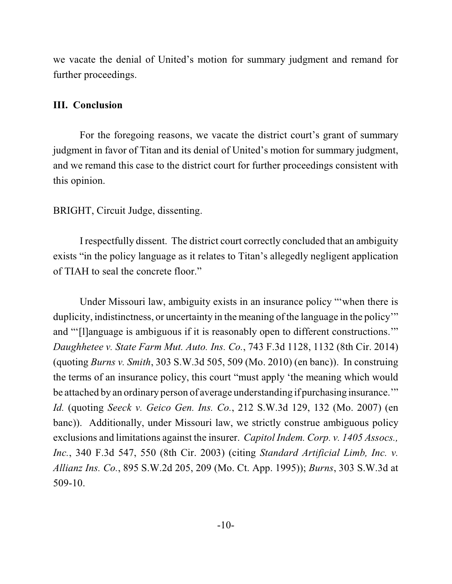we vacate the denial of United's motion for summary judgment and remand for further proceedings.

#### **III. Conclusion**

For the foregoing reasons, we vacate the district court's grant of summary judgment in favor of Titan and its denial of United's motion for summary judgment, and we remand this case to the district court for further proceedings consistent with this opinion.

## BRIGHT, Circuit Judge, dissenting.

I respectfully dissent. The district court correctly concluded that an ambiguity exists "in the policy language as it relates to Titan's allegedly negligent application of TIAH to seal the concrete floor."

Under Missouri law, ambiguity exists in an insurance policy "'when there is duplicity, indistinctness, or uncertainty in the meaning of the language in the policy" and "'[l]anguage is ambiguous if it is reasonably open to different constructions.'" *Daughhetee v. State Farm Mut. Auto. Ins. Co.*, 743 F.3d 1128, 1132 (8th Cir. 2014) (quoting *Burns v. Smith*, 303 S.W.3d 505, 509 (Mo. 2010) (en banc)). In construing the terms of an insurance policy, this court "must apply 'the meaning which would be attached by an ordinary person of average understanding if purchasing insurance.'" *Id.* (quoting *Seeck v. Geico Gen. Ins. Co.*, 212 S.W.3d 129, 132 (Mo. 2007) (en banc)). Additionally, under Missouri law, we strictly construe ambiguous policy exclusions and limitations against the insurer. *Capitol Indem. Corp. v. 1405 Assocs., Inc.*, 340 F.3d 547, 550 (8th Cir. 2003) (citing *Standard Artificial Limb, Inc. v. Allianz Ins. Co.*, 895 S.W.2d 205, 209 (Mo. Ct. App. 1995)); *Burns*, 303 S.W.3d at 509-10.